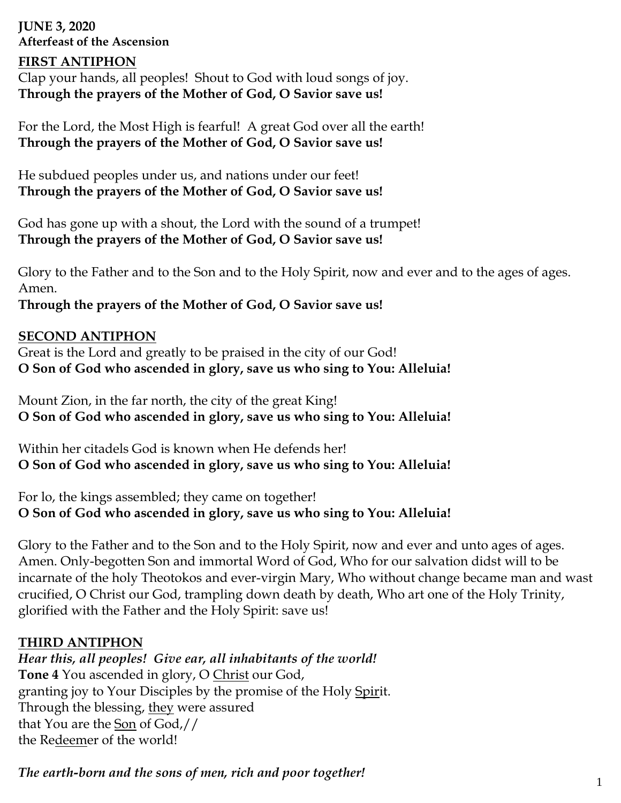**JUNE 3, 2020 Afterfeast of the Ascension**

### **FIRST ANTIPHON**

Clap your hands, all peoples! Shout to God with loud songs of joy. **Through the prayers of the Mother of God, O Savior save us!**

For the Lord, the Most High is fearful! A great God over all the earth! **Through the prayers of the Mother of God, O Savior save us!**

He subdued peoples under us, and nations under our feet! **Through the prayers of the Mother of God, O Savior save us!**

God has gone up with a shout, the Lord with the sound of a trumpet! **Through the prayers of the Mother of God, O Savior save us!**

Glory to the Father and to the Son and to the Holy Spirit, now and ever and to the ages of ages. Amen.

**Through the prayers of the Mother of God, O Savior save us!**

### **SECOND ANTIPHON**

Great is the Lord and greatly to be praised in the city of our God! **O Son of God who ascended in glory, save us who sing to You: Alleluia!**

Mount Zion, in the far north, the city of the great King! **O Son of God who ascended in glory, save us who sing to You: Alleluia!**

Within her citadels God is known when He defends her! **O Son of God who ascended in glory, save us who sing to You: Alleluia!**

For lo, the kings assembled; they came on together! **O Son of God who ascended in glory, save us who sing to You: Alleluia!**

Glory to the Father and to the Son and to the Holy Spirit, now and ever and unto ages of ages. Amen. Only-begotten Son and immortal Word of God, Who for our salvation didst will to be incarnate of the holy Theotokos and ever-virgin Mary, Who without change became man and wast crucified, O Christ our God, trampling down death by death, Who art one of the Holy Trinity, glorified with the Father and the Holy Spirit: save us!

### **THIRD ANTIPHON**

*Hear this, all peoples! Give ear, all inhabitants of the world!* **Tone 4** You ascended in glory, O Christ our God, granting joy to Your Disciples by the promise of the Holy Spirit. Through the blessing, they were assured that You are the Son of God,// the Redeemer of the world!

*The earth-born and the sons of men, rich and poor together!*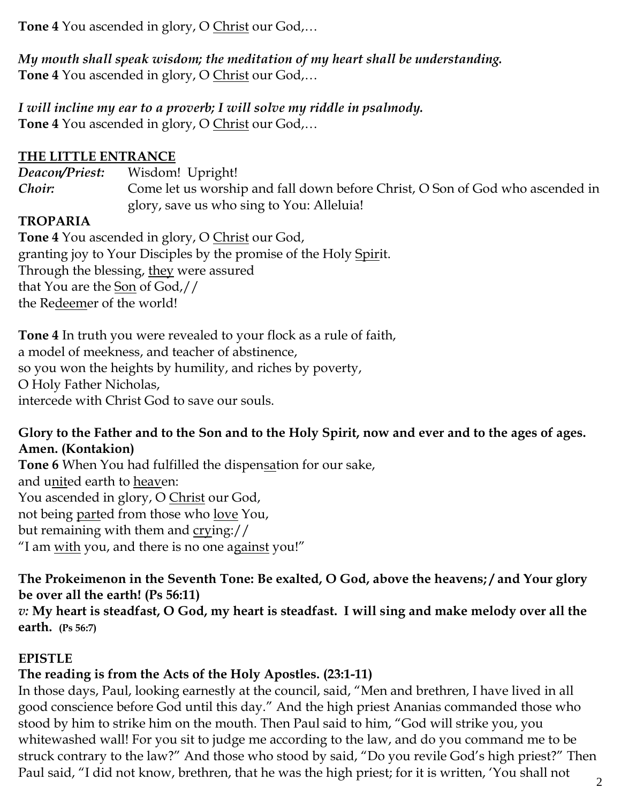**Tone 4** You ascended in glory, O Christ our God,…

*My mouth shall speak wisdom; the meditation of my heart shall be understanding.* **Tone 4** You ascended in glory, O Christ our God,…

*I will incline my ear to a proverb; I will solve my riddle in psalmody.* **Tone 4** You ascended in glory, O Christ our God,…

# **THE LITTLE ENTRANCE**

*Deacon/Priest:* Wisdom! Upright!

*Choir*: Come let us worship and fall down before Christ, O Son of God who ascended in glory, save us who sing to You: Alleluia!

# **TROPARIA**

**Tone 4** You ascended in glory, O Christ our God, granting joy to Your Disciples by the promise of the Holy Spirit. Through the blessing, they were assured that You are the Son of God,// the Redeemer of the world!

**Tone 4** In truth you were revealed to your flock as a rule of faith, a model of meekness, and teacher of abstinence, so you won the heights by humility, and riches by poverty, O Holy Father Nicholas, intercede with Christ God to save our souls.

## **Glory to the Father and to the Son and to the Holy Spirit, now and ever and to the ages of ages. Amen. (Kontakion)**

**Tone 6** When You had fulfilled the dispensation for our sake, and united earth to heaven: You ascended in glory, O Christ our God, not being parted from those who love You, but remaining with them and crying:// "I am with you, and there is no one against you!"

# **The Prokeimenon in the Seventh Tone: Be exalted, O God, above the heavens; / and Your glory be over all the earth! (Ps 56:11)**

*v:* **My heart is steadfast, O God, my heart is steadfast. I will sing and make melody over all the earth. (Ps 56:7)**

# **EPISTLE**

# **The reading is from the Acts of the Holy Apostles. (23:1-11)**

In those days, Paul, looking earnestly at the council, said, "Men and brethren, I have lived in all good conscience before God until this day." And the high priest Ananias commanded those who stood by him to strike him on the mouth. Then Paul said to him, "God will strike you, you whitewashed wall! For you sit to judge me according to the law, and do you command me to be struck contrary to the law?" And those who stood by said, "Do you revile God's high priest?" Then Paul said, "I did not know, brethren, that he was the high priest; for it is written, 'You shall not